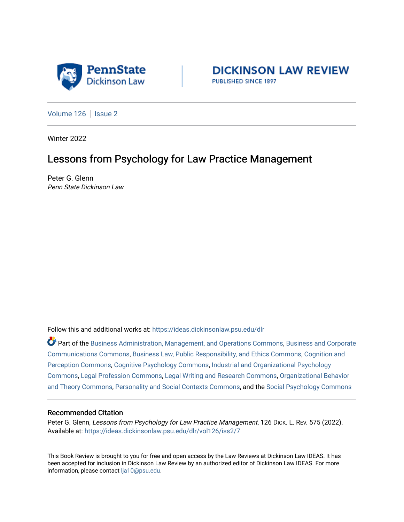

**DICKINSON LAW REVIEW** PUBLISHED SINCE 1897

[Volume 126](https://ideas.dickinsonlaw.psu.edu/dlr/vol126) | [Issue 2](https://ideas.dickinsonlaw.psu.edu/dlr/vol126/iss2)

Winter 2022

## Lessons from Psychology for Law Practice Management

Peter G. Glenn Penn State Dickinson Law

Follow this and additional works at: [https://ideas.dickinsonlaw.psu.edu/dlr](https://ideas.dickinsonlaw.psu.edu/dlr?utm_source=ideas.dickinsonlaw.psu.edu%2Fdlr%2Fvol126%2Fiss2%2F7&utm_medium=PDF&utm_campaign=PDFCoverPages) 

Part of the [Business Administration, Management, and Operations Commons](http://network.bepress.com/hgg/discipline/623?utm_source=ideas.dickinsonlaw.psu.edu%2Fdlr%2Fvol126%2Fiss2%2F7&utm_medium=PDF&utm_campaign=PDFCoverPages), [Business and Corporate](http://network.bepress.com/hgg/discipline/627?utm_source=ideas.dickinsonlaw.psu.edu%2Fdlr%2Fvol126%2Fiss2%2F7&utm_medium=PDF&utm_campaign=PDFCoverPages)  [Communications Commons,](http://network.bepress.com/hgg/discipline/627?utm_source=ideas.dickinsonlaw.psu.edu%2Fdlr%2Fvol126%2Fiss2%2F7&utm_medium=PDF&utm_campaign=PDFCoverPages) [Business Law, Public Responsibility, and Ethics Commons,](http://network.bepress.com/hgg/discipline/628?utm_source=ideas.dickinsonlaw.psu.edu%2Fdlr%2Fvol126%2Fiss2%2F7&utm_medium=PDF&utm_campaign=PDFCoverPages) [Cognition and](http://network.bepress.com/hgg/discipline/407?utm_source=ideas.dickinsonlaw.psu.edu%2Fdlr%2Fvol126%2Fiss2%2F7&utm_medium=PDF&utm_campaign=PDFCoverPages)  [Perception Commons](http://network.bepress.com/hgg/discipline/407?utm_source=ideas.dickinsonlaw.psu.edu%2Fdlr%2Fvol126%2Fiss2%2F7&utm_medium=PDF&utm_campaign=PDFCoverPages), [Cognitive Psychology Commons,](http://network.bepress.com/hgg/discipline/408?utm_source=ideas.dickinsonlaw.psu.edu%2Fdlr%2Fvol126%2Fiss2%2F7&utm_medium=PDF&utm_campaign=PDFCoverPages) [Industrial and Organizational Psychology](http://network.bepress.com/hgg/discipline/412?utm_source=ideas.dickinsonlaw.psu.edu%2Fdlr%2Fvol126%2Fiss2%2F7&utm_medium=PDF&utm_campaign=PDFCoverPages)  [Commons](http://network.bepress.com/hgg/discipline/412?utm_source=ideas.dickinsonlaw.psu.edu%2Fdlr%2Fvol126%2Fiss2%2F7&utm_medium=PDF&utm_campaign=PDFCoverPages), [Legal Profession Commons,](http://network.bepress.com/hgg/discipline/1075?utm_source=ideas.dickinsonlaw.psu.edu%2Fdlr%2Fvol126%2Fiss2%2F7&utm_medium=PDF&utm_campaign=PDFCoverPages) [Legal Writing and Research Commons,](http://network.bepress.com/hgg/discipline/614?utm_source=ideas.dickinsonlaw.psu.edu%2Fdlr%2Fvol126%2Fiss2%2F7&utm_medium=PDF&utm_campaign=PDFCoverPages) [Organizational Behavior](http://network.bepress.com/hgg/discipline/639?utm_source=ideas.dickinsonlaw.psu.edu%2Fdlr%2Fvol126%2Fiss2%2F7&utm_medium=PDF&utm_campaign=PDFCoverPages)  [and Theory Commons](http://network.bepress.com/hgg/discipline/639?utm_source=ideas.dickinsonlaw.psu.edu%2Fdlr%2Fvol126%2Fiss2%2F7&utm_medium=PDF&utm_campaign=PDFCoverPages), [Personality and Social Contexts Commons,](http://network.bepress.com/hgg/discipline/413?utm_source=ideas.dickinsonlaw.psu.edu%2Fdlr%2Fvol126%2Fiss2%2F7&utm_medium=PDF&utm_campaign=PDFCoverPages) and the [Social Psychology Commons](http://network.bepress.com/hgg/discipline/414?utm_source=ideas.dickinsonlaw.psu.edu%2Fdlr%2Fvol126%2Fiss2%2F7&utm_medium=PDF&utm_campaign=PDFCoverPages)

## Recommended Citation

Peter G. Glenn, Lessons from Psychology for Law Practice Management, 126 DICK. L. REV. 575 (2022). Available at: [https://ideas.dickinsonlaw.psu.edu/dlr/vol126/iss2/7](https://ideas.dickinsonlaw.psu.edu/dlr/vol126/iss2/7?utm_source=ideas.dickinsonlaw.psu.edu%2Fdlr%2Fvol126%2Fiss2%2F7&utm_medium=PDF&utm_campaign=PDFCoverPages)

This Book Review is brought to you for free and open access by the Law Reviews at Dickinson Law IDEAS. It has been accepted for inclusion in Dickinson Law Review by an authorized editor of Dickinson Law IDEAS. For more information, please contact [lja10@psu.edu.](mailto:lja10@psu.edu)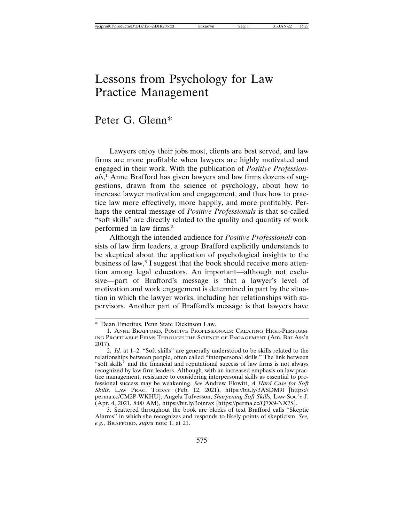## Lessons from Psychology for Law Practice Management

## Peter G. Glenn\*

Lawyers enjoy their jobs most, clients are best served, and law firms are more profitable when lawyers are highly motivated and engaged in their work. With the publication of *Positive Professionals*, <sup>1</sup> Anne Brafford has given lawyers and law firms dozens of suggestions, drawn from the science of psychology, about how to increase lawyer motivation and engagement, and thus how to practice law more effectively, more happily, and more profitably. Perhaps the central message of *Positive Professionals* is that so-called "soft skills" are directly related to the quality and quantity of work performed in law firms.<sup>2</sup>

Although the intended audience for *Positive Professionals* consists of law firm leaders, a group Brafford explicitly understands to be skeptical about the application of psychological insights to the business of law,<sup>3</sup> I suggest that the book should receive more attention among legal educators. An important—although not exclusive—part of Brafford's message is that a lawyer's level of motivation and work engagement is determined in part by the situation in which the lawyer works, including her relationships with supervisors. Another part of Brafford's message is that lawyers have

<sup>\*</sup> Dean Emeritus, Penn State Dickinson Law.

<sup>1.</sup> ANNE BRAFFORD, POSITIVE PROFESSIONALS: CREATING HIGH-PERFORM-ING PROFITABLE FIRMS THROUGH THE SCIENCE OF ENGAGEMENT (Am. Bar Ass'n 2017).

<sup>2.</sup> *Id.* at 1–2. "Soft skills" are generally understood to be skills related to the relationships between people, often called "interpersonal skills." The link between "soft skills" and the financial and reputational success of law firms is not always recognized by law firm leaders. Although, with an increased emphasis on law practice management, resistance to considering interpersonal skills as essential to professional success may be weakening. *See* Andrew Elowitt, *A Hard Case for Soft Skills,* LAW PRAC. TODAY (Feb. 12, 2021), https://bit.ly/3ASDM9f [https:// perma.cc/CM2P-WKHU]; Angela Tufvesson, *Sharpening Soft Skills*, Law Soc'y J. (Apr. 4, 2021, 8:00 AM), https://bit.ly/3oinrax [https://perma.cc/Q7X9-NX7S].

<sup>3.</sup> Scattered throughout the book are blocks of text Brafford calls "Skeptic Alarms" in which she recognizes and responds to likely points of skepticism. *See, e.g.*, BRAFFORD, *supra* note 1, at 21.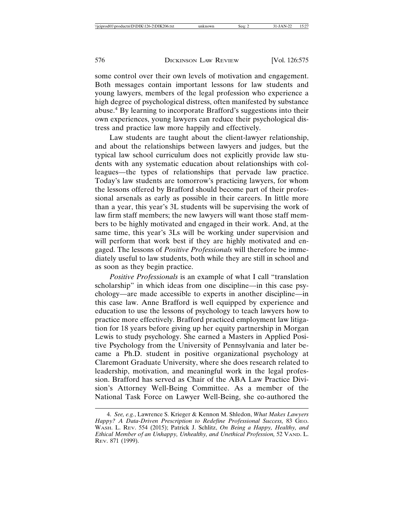some control over their own levels of motivation and engagement. Both messages contain important lessons for law students and young lawyers, members of the legal profession who experience a high degree of psychological distress, often manifested by substance abuse.<sup>4</sup> By learning to incorporate Brafford's suggestions into their own experiences, young lawyers can reduce their psychological distress and practice law more happily and effectively.

Law students are taught about the client-lawyer relationship, and about the relationships between lawyers and judges, but the typical law school curriculum does not explicitly provide law students with any systematic education about relationships with colleagues—the types of relationships that pervade law practice. Today's law students are tomorrow's practicing lawyers, for whom the lessons offered by Brafford should become part of their professional arsenals as early as possible in their careers. In little more than a year, this year's 3L students will be supervising the work of law firm staff members; the new lawyers will want those staff members to be highly motivated and engaged in their work. And, at the same time, this year's 3Ls will be working under supervision and will perform that work best if they are highly motivated and engaged. The lessons of *Positive Professionals* will therefore be immediately useful to law students, both while they are still in school and as soon as they begin practice.

*Positive Professionals* is an example of what I call "translation scholarship" in which ideas from one discipline—in this case psychology—are made accessible to experts in another discipline—in this case law. Anne Brafford is well equipped by experience and education to use the lessons of psychology to teach lawyers how to practice more effectively. Brafford practiced employment law litigation for 18 years before giving up her equity partnership in Morgan Lewis to study psychology. She earned a Masters in Applied Positive Psychology from the University of Pennsylvania and later became a Ph.D. student in positive organizational psychology at Claremont Graduate University, where she does research related to leadership, motivation, and meaningful work in the legal profession. Brafford has served as Chair of the ABA Law Practice Division's Attorney Well-Being Committee. As a member of the National Task Force on Lawyer Well-Being, she co-authored the

<sup>4.</sup> *See, e.g.*, Lawrence S. Krieger & Kennon M. Shledon, *What Makes Lawyers Happy? A Data-Driven Prescription to Redefine Professional Success,* 83 GEO. WASH. L. REV. 554 (2015); Patrick J. Schlitz, *On Being a Happy, Healthy, and Ethical Member of an Unhappy, Unhealthy, and Unethical Profession,* 52 VAND. L. REV. 871 (1999).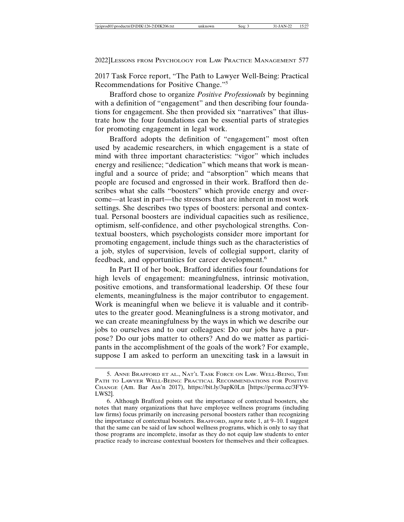2022]LESSONS FROM PSYCHOLOGY FOR LAW PRACTICE MANAGEMENT 577

2017 Task Force report, "The Path to Lawyer Well-Being: Practical Recommendations for Positive Change."<sup>5</sup>

Brafford chose to organize *Positive Professionals* by beginning with a definition of "engagement" and then describing four foundations for engagement. She then provided six "narratives" that illustrate how the four foundations can be essential parts of strategies for promoting engagement in legal work.

Brafford adopts the definition of "engagement" most often used by academic researchers, in which engagement is a state of mind with three important characteristics: "vigor" which includes energy and resilience; "dedication" which means that work is meaningful and a source of pride; and "absorption" which means that people are focused and engrossed in their work. Brafford then describes what she calls "boosters" which provide energy and overcome—at least in part—the stressors that are inherent in most work settings. She describes two types of boosters: personal and contextual. Personal boosters are individual capacities such as resilience, optimism, self-confidence, and other psychological strengths. Contextual boosters, which psychologists consider more important for promoting engagement, include things such as the characteristics of a job, styles of supervision, levels of collegial support, clarity of feedback, and opportunities for career development.<sup>6</sup>

In Part II of her book, Brafford identifies four foundations for high levels of engagement: meaningfulness, intrinsic motivation, positive emotions, and transformational leadership. Of these four elements, meaningfulness is the major contributor to engagement. Work is meaningful when we believe it is valuable and it contributes to the greater good. Meaningfulness is a strong motivator, and we can create meaningfulness by the ways in which we describe our jobs to ourselves and to our colleagues: Do our jobs have a purpose? Do our jobs matter to others? And do we matter as participants in the accomplishment of the goals of the work? For example, suppose I am asked to perform an unexciting task in a lawsuit in

<sup>5.</sup> ANNE BRAFFORD ET AL., NAT'L TASK FORCE ON LAW. WELL-BEING, THE PATH TO LAWYER WELL-BEING: PRACTICAL RECOMMENDATIONS FOR POSITIVE CHANGE (Am. Bar Ass'n 2017), https://bit.ly/3upK0Ln [https://perma.cc/3FY9- LWS2].

<sup>6.</sup> Although Brafford points out the importance of contextual boosters, she notes that many organizations that have employee wellness programs (including law firms) focus primarily on increasing personal boosters rather than recognizing the importance of contextual boosters. BRAFFORD, *supra* note 1, at 9–10. I suggest that the same can be said of law school wellness programs, which is only to say that those programs are incomplete, insofar as they do not equip law students to enter practice ready to increase contextual boosters for themselves and their colleagues.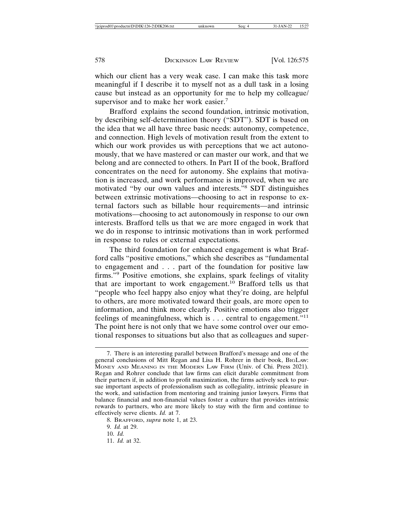which our client has a very weak case. I can make this task more meaningful if I describe it to myself not as a dull task in a losing cause but instead as an opportunity for me to help my colleague/ supervisor and to make her work easier.<sup>7</sup>

Brafford explains the second foundation, intrinsic motivation, by describing self-determination theory ("SDT"). SDT is based on the idea that we all have three basic needs: autonomy, competence, and connection. High levels of motivation result from the extent to which our work provides us with perceptions that we act autonomously, that we have mastered or can master our work, and that we belong and are connected to others. In Part II of the book, Brafford concentrates on the need for autonomy. She explains that motivation is increased, and work performance is improved, when we are motivated "by our own values and interests."<sup>8</sup> SDT distinguishes between extrinsic motivations—choosing to act in response to external factors such as billable hour requirements—and intrinsic motivations—choosing to act autonomously in response to our own interests. Brafford tells us that we are more engaged in work that we do in response to intrinsic motivations than in work performed in response to rules or external expectations.

The third foundation for enhanced engagement is what Brafford calls "positive emotions," which she describes as "fundamental to engagement and . . . part of the foundation for positive law firms."9 Positive emotions, she explains, spark feelings of vitality that are important to work engagement.<sup>10</sup> Brafford tells us that "people who feel happy also enjoy what they're doing, are helpful to others, are more motivated toward their goals, are more open to information, and think more clearly. Positive emotions also trigger feelings of meaningfulness, which is . . . central to engagement."<sup>11</sup> The point here is not only that we have some control over our emotional responses to situations but also that as colleagues and super-

8. BRAFFORD, *supra* note 1, at 23.

11. *Id.* at 32.

<sup>7.</sup> There is an interesting parallel between Brafford's message and one of the general conclusions of Mitt Regan and Lisa H. Rohrer in their book, BIGLAW: MONEY AND MEANING IN THE MODERN LAW FIRM (Univ. of Chi. Press 2021). Regan and Rohrer conclude that law firms can elicit durable commitment from their partners if, in addition to profit maximization, the firms actively seek to pursue important aspects of professionalism such as collegiality, intrinsic pleasure in the work, and satisfaction from mentoring and training junior lawyers. Firms that balance financial and non-financial values foster a culture that provides intrinsic rewards to partners, who are more likely to stay with the firm and continue to effectively serve clients. *Id.* at 7.

<sup>9.</sup> *Id.* at 29.

<sup>10.</sup> *Id.*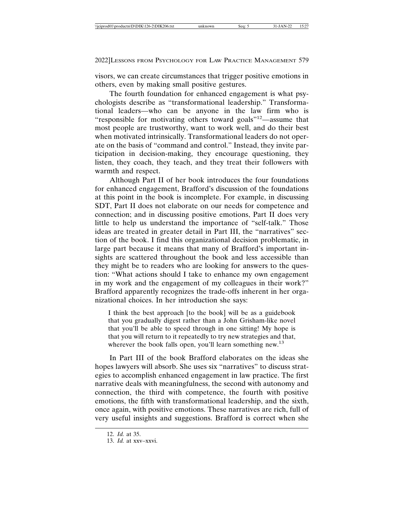visors, we can create circumstances that trigger positive emotions in others, even by making small positive gestures.

The fourth foundation for enhanced engagement is what psychologists describe as "transformational leadership." Transformational leaders—who can be anyone in the law firm who is "responsible for motivating others toward goals"12—assume that most people are trustworthy, want to work well, and do their best when motivated intrinsically. Transformational leaders do not operate on the basis of "command and control." Instead, they invite participation in decision-making, they encourage questioning, they listen, they coach, they teach, and they treat their followers with warmth and respect.

Although Part II of her book introduces the four foundations for enhanced engagement, Brafford's discussion of the foundations at this point in the book is incomplete. For example, in discussing SDT, Part II does not elaborate on our needs for competence and connection; and in discussing positive emotions, Part II does very little to help us understand the importance of "self-talk." Those ideas are treated in greater detail in Part III, the "narratives" section of the book. I find this organizational decision problematic, in large part because it means that many of Brafford's important insights are scattered throughout the book and less accessible than they might be to readers who are looking for answers to the question: "What actions should I take to enhance my own engagement in my work and the engagement of my colleagues in their work?" Brafford apparently recognizes the trade-offs inherent in her organizational choices. In her introduction she says:

I think the best approach [to the book] will be as a guidebook that you gradually digest rather than a John Grisham-like novel that you'll be able to speed through in one sitting! My hope is that you will return to it repeatedly to try new strategies and that, wherever the book falls open, you'll learn something new.<sup>13</sup>

In Part III of the book Brafford elaborates on the ideas she hopes lawyers will absorb. She uses six "narratives" to discuss strategies to accomplish enhanced engagement in law practice. The first narrative deals with meaningfulness, the second with autonomy and connection, the third with competence, the fourth with positive emotions, the fifth with transformational leadership, and the sixth, once again, with positive emotions. These narratives are rich, full of very useful insights and suggestions. Brafford is correct when she

<sup>12.</sup> *Id.* at 35.

<sup>13.</sup> *Id.* at xxv–xxvi.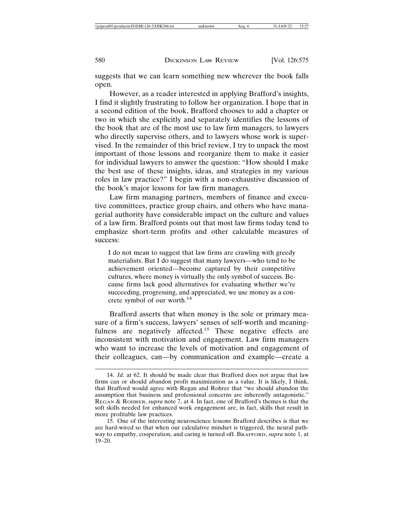suggests that we can learn something new wherever the book falls open.

However, as a reader interested in applying Brafford's insights, I find it slightly frustrating to follow her organization. I hope that in a second edition of the book, Brafford chooses to add a chapter or two in which she explicitly and separately identifies the lessons of the book that are of the most use to law firm managers, to lawyers who directly supervise others, and to lawyers whose work is supervised. In the remainder of this brief review, I try to unpack the most important of those lessons and reorganize them to make it easier for individual lawyers to answer the question: "How should I make the best use of these insights, ideas, and strategies in my various roles in law practice?" I begin with a non-exhaustive discussion of the book's major lessons for law firm managers.

Law firm managing partners, members of finance and executive committees, practice group chairs, and others who have managerial authority have considerable impact on the culture and values of a law firm. Brafford points out that most law firms today tend to emphasize short-term profits and other calculable measures of success:

I do not mean to suggest that law firms are crawling with greedy materialists. But I do suggest that many lawyers—who tend to be achievement oriented—become captured by their competitive cultures, where money is virtually the only symbol of success. Because firms lack good alternatives for evaluating whether we're succeeding, progressing, and appreciated, we use money as a concrete symbol of our worth.14

Brafford asserts that when money is the sole or primary measure of a firm's success, lawyers' senses of self-worth and meaningfulness are negatively affected.<sup>15</sup> These negative effects are inconsistent with motivation and engagement. Law firm managers who want to increase the levels of motivation and engagement of their colleagues, can—by communication and example—create a

<sup>14.</sup> *Id.* at 62. It should be made clear that Brafford does not argue that law firms can or should abandon profit maximization as a value. It is likely, I think, that Brafford would agree with Regan and Rohrer that "we should abandon the assumption that business and professional concerns are inherently antagonistic." REGAN & ROHRER, *supra* note 7, at 4. In fact, one of Brafford's themes is that the soft skills needed for enhanced work engagement are, in fact, skills that result in more profitable law practices.

<sup>15.</sup> One of the interesting neuroscience lessons Brafford describes is that we are hard-wired so that when our calculative mindset is triggered, the neural pathway to empathy, cooperation, and caring is turned off. BRAFFORD, *supra* note 1, at 19–20.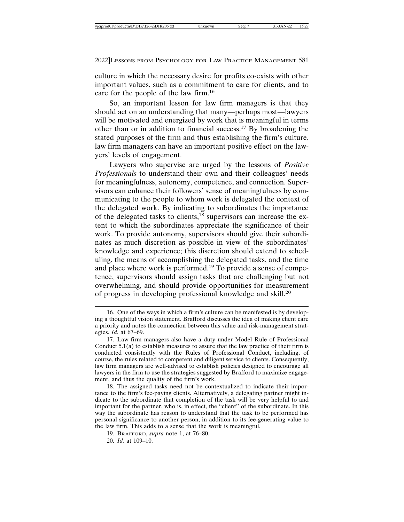culture in which the necessary desire for profits co-exists with other important values, such as a commitment to care for clients, and to care for the people of the law firm.<sup>16</sup>

So, an important lesson for law firm managers is that they should act on an understanding that many—perhaps most—lawyers will be motivated and energized by work that is meaningful in terms other than or in addition to financial success.17 By broadening the stated purposes of the firm and thus establishing the firm's culture, law firm managers can have an important positive effect on the lawyers' levels of engagement.

Lawyers who supervise are urged by the lessons of *Positive Professionals* to understand their own and their colleagues' needs for meaningfulness, autonomy, competence, and connection. Supervisors can enhance their followers' sense of meaningfulness by communicating to the people to whom work is delegated the context of the delegated work. By indicating to subordinates the importance of the delegated tasks to clients,<sup>18</sup> supervisors can increase the extent to which the subordinates appreciate the significance of their work. To provide autonomy, supervisors should give their subordinates as much discretion as possible in view of the subordinates' knowledge and experience; this discretion should extend to scheduling, the means of accomplishing the delegated tasks, and the time and place where work is performed.<sup>19</sup> To provide a sense of competence, supervisors should assign tasks that are challenging but not overwhelming, and should provide opportunities for measurement of progress in developing professional knowledge and skill.<sup>20</sup>

18. The assigned tasks need not be contextualized to indicate their importance to the firm's fee-paying clients. Alternatively, a delegating partner might indicate to the subordinate that completion of the task will be very helpful to and important for the partner, who is, in effect, the "client" of the subordinate. In this way the subordinate has reason to understand that the task to be performed has personal significance to another person, in addition to its fee-generating value to the law firm. This adds to a sense that the work is meaningful.

19. BRAFFORD, *supra* note 1, at 76–80.

20. *Id.* at 109–10.

<sup>16.</sup> One of the ways in which a firm's culture can be manifested is by developing a thoughtful vision statement. Brafford discusses the idea of making client care a priority and notes the connection between this value and risk-management strategies. *Id.* at 67–69.

<sup>17.</sup> Law firm managers also have a duty under Model Rule of Professional Conduct 5.1(a) to establish measures to assure that the law practice of their firm is conducted consistently with the Rules of Professional Conduct, including, of course, the rules related to competent and diligent service to clients. Consequently, law firm managers are well-advised to establish policies designed to encourage all lawyers in the firm to use the strategies suggested by Brafford to maximize engagement, and thus the quality of the firm's work.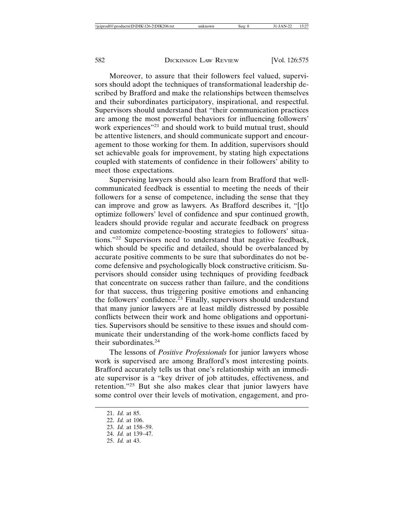Moreover, to assure that their followers feel valued, supervisors should adopt the techniques of transformational leadership described by Brafford and make the relationships between themselves and their subordinates participatory, inspirational, and respectful. Supervisors should understand that "their communication practices are among the most powerful behaviors for influencing followers' work experiences"<sup>21</sup> and should work to build mutual trust, should be attentive listeners, and should communicate support and encouragement to those working for them. In addition, supervisors should set achievable goals for improvement, by stating high expectations coupled with statements of confidence in their followers' ability to meet those expectations.

Supervising lawyers should also learn from Brafford that wellcommunicated feedback is essential to meeting the needs of their followers for a sense of competence, including the sense that they can improve and grow as lawyers. As Brafford describes it, "[t]o optimize followers' level of confidence and spur continued growth, leaders should provide regular and accurate feedback on progress and customize competence-boosting strategies to followers' situations."22 Supervisors need to understand that negative feedback, which should be specific and detailed, should be overbalanced by accurate positive comments to be sure that subordinates do not become defensive and psychologically block constructive criticism. Supervisors should consider using techniques of providing feedback that concentrate on success rather than failure, and the conditions for that success, thus triggering positive emotions and enhancing the followers' confidence.<sup>23</sup> Finally, supervisors should understand that many junior lawyers are at least mildly distressed by possible conflicts between their work and home obligations and opportunities. Supervisors should be sensitive to these issues and should communicate their understanding of the work-home conflicts faced by their subordinates.24

The lessons of *Positive Professionals* for junior lawyers whose work is supervised are among Brafford's most interesting points. Brafford accurately tells us that one's relationship with an immediate supervisor is a "key driver of job attitudes, effectiveness, and retention."25 But she also makes clear that junior lawyers have some control over their levels of motivation, engagement, and pro-

<sup>21.</sup> *Id.* at 85. 22. *Id.* at 106. 23. *Id.* at 158–59. 24. *Id.* at 139–47. 25. *Id.* at 43.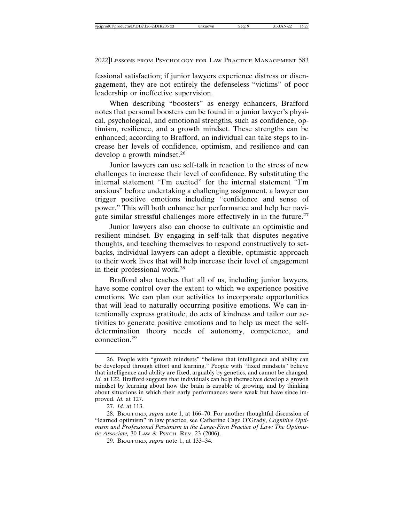fessional satisfaction; if junior lawyers experience distress or disengagement, they are not entirely the defenseless "victims" of poor leadership or ineffective supervision.

When describing "boosters" as energy enhancers, Brafford notes that personal boosters can be found in a junior lawyer's physical, psychological, and emotional strengths, such as confidence, optimism, resilience, and a growth mindset. These strengths can be enhanced; according to Brafford, an individual can take steps to increase her levels of confidence, optimism, and resilience and can develop a growth mindset.<sup>26</sup>

Junior lawyers can use self-talk in reaction to the stress of new challenges to increase their level of confidence. By substituting the internal statement "I'm excited" for the internal statement "I'm anxious" before undertaking a challenging assignment, a lawyer can trigger positive emotions including "confidence and sense of power." This will both enhance her performance and help her navigate similar stressful challenges more effectively in in the future.<sup>27</sup>

Junior lawyers also can choose to cultivate an optimistic and resilient mindset. By engaging in self-talk that disputes negative thoughts, and teaching themselves to respond constructively to setbacks, individual lawyers can adopt a flexible, optimistic approach to their work lives that will help increase their level of engagement in their professional work.<sup>28</sup>

Brafford also teaches that all of us, including junior lawyers, have some control over the extent to which we experience positive emotions. We can plan our activities to incorporate opportunities that will lead to naturally occurring positive emotions. We can intentionally express gratitude, do acts of kindness and tailor our activities to generate positive emotions and to help us meet the selfdetermination theory needs of autonomy, competence, and connection.<sup>29</sup>

<sup>26.</sup> People with "growth mindsets" "believe that intelligence and ability can be developed through effort and learning." People with "fixed mindsets" believe that intelligence and ability are fixed, arguably by genetics, and cannot be changed. *Id.* at 122. Brafford suggests that individuals can help themselves develop a growth mindset by learning about how the brain is capable of growing, and by thinking about situations in which their early performances were weak but have since improved. *Id.* at 127.

<sup>27.</sup> *Id.* at 113.

<sup>28.</sup> BRAFFORD, *supra* note 1, at 166–70. For another thoughtful discussion of "learned optimism" in law practice, see Catherine Cage O'Grady, *Cognitive Optimism and Professional Pessimism in the Large-Firm Practice of Law: The Optimistic Associate,* 30 LAW & PSYCH. REV. 23 (2006).

<sup>29.</sup> BRAFFORD, *supra* note 1, at 133–34.